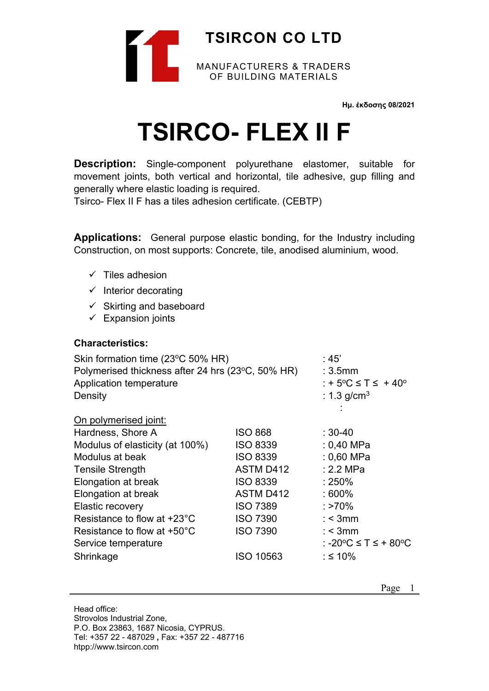

**Ημ. έκδοσης 08/2021** 

# **TSIRCO- FLEX II F**

**Description:** Single-component polyurethane elastomer, suitable for movement joints, both vertical and horizontal, tile adhesive, gup filling and generally where elastic loading is required.

Tsirco- Flex II F has a tiles adhesion certificate. (CEBTP)

**Applications:** General purpose elastic bonding, for the Industry including Construction, on most supports: Concrete, tile, anodised aluminium, wood.

- $\checkmark$  Tiles adhesion
- $\checkmark$  Interior decorating
- $\checkmark$  Skirting and baseboard
- $\checkmark$  Expansion joints

#### **Characteristics:**

| Skin formation time (23°C 50% HR)<br>Polymerised thickness after 24 hrs (23°C, 50% HR)<br>Application temperature<br>Density |                 | :45'<br>: 3.5mm<br>: + 5°C $\leq$ T $\leq$ + 40°<br>: 1.3 g/cm <sup>3</sup> |
|------------------------------------------------------------------------------------------------------------------------------|-----------------|-----------------------------------------------------------------------------|
| On polymerised joint:                                                                                                        |                 |                                                                             |
| Hardness, Shore A                                                                                                            | <b>ISO 868</b>  | $:30-40$                                                                    |
| Modulus of elasticity (at 100%)                                                                                              | <b>ISO 8339</b> | $: 0,40$ MPa                                                                |
| Modulus at beak                                                                                                              | <b>ISO 8339</b> | $: 0,60$ MPa                                                                |
| <b>Tensile Strength</b>                                                                                                      | ASTM D412       | $: 2.2$ MPa                                                                 |
| Elongation at break                                                                                                          | <b>ISO 8339</b> | $:250\%$                                                                    |
| Elongation at break                                                                                                          | ASTM D412       | $:600\%$                                                                    |
| Elastic recovery                                                                                                             | <b>ISO 7389</b> | : >70%                                                                      |
| Resistance to flow at +23°C                                                                                                  | <b>ISO 7390</b> | $:$ < 3mm                                                                   |
| Resistance to flow at $+50^{\circ}$ C                                                                                        | <b>ISO 7390</b> | $:$ < 3mm                                                                   |
| Service temperature                                                                                                          |                 | : -20°C $\leq$ T $\leq$ + 80°C                                              |
| Shrinkage                                                                                                                    | ISO 10563       | : ≤ 10%                                                                     |
|                                                                                                                              |                 |                                                                             |

Head office: Strovolos Industrial Zone, P.O. Box 23863, 1687 Nicosia, CYPRUS. Tel: +357 22 - 487029 **,** Fax: +357 22 - 487716 htpp://www.tsircon.com

Page 1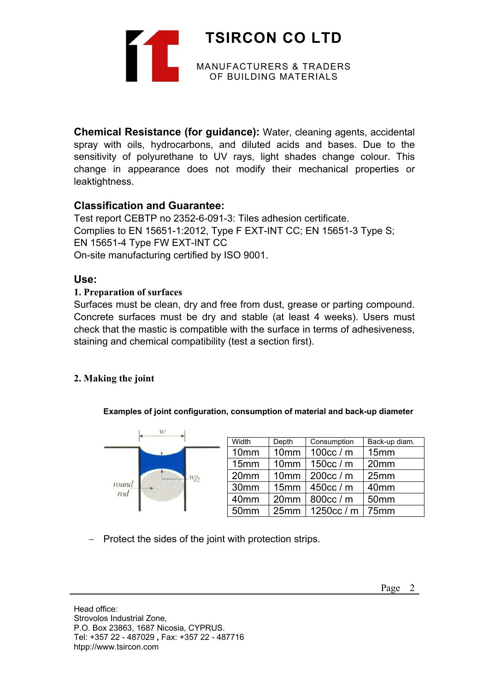

**Chemical Resistance (for guidance):** Water, cleaning agents, accidental spray with oils, hydrocarbons, and diluted acids and bases. Due to the sensitivity of polyurethane to UV rays, light shades change colour. This change in appearance does not modify their mechanical properties or leaktightness.

# **Classification and Guarantee:**

Test report CEBTP no 2352-6-091-3: Tiles adhesion certificate. Complies to EN 15651-1:2012, Type F EXT-INT CC; EN 15651-3 Type S; EN 15651-4 Type FW EXT-INT CC On-site manufacturing certified by ISO 9001.

#### **Use:**

#### **1. Preparation of surfaces**

Surfaces must be clean, dry and free from dust, grease or parting compound. Concrete surfaces must be dry and stable (at least 4 weeks). Users must check that the mastic is compatible with the surface in terms of adhesiveness, staining and chemical compatibility (test a section first).

## **2. Making the joint**

**Examples of joint configuration, consumption of material and back-up diameter** 



| Width            | Depth            | Consumption       | Back-up diam. |
|------------------|------------------|-------------------|---------------|
| 10 <sub>mm</sub> | 10mm             | 100cc / m         | 15mm          |
| 15mm             | 10 <sub>mm</sub> | 150cc / m         | 20mm          |
| 20mm             | 10 <sub>mm</sub> | 200cc / m         | 25mm          |
| 30mm             | 15 <sub>mm</sub> | 450cc / m         | 40mm          |
| 40mm             | 20 <sub>mm</sub> | 800cc / m         | 50mm          |
| 50mm             | 25mm             | 1250cc / m   75mm |               |

 $-$  Protect the sides of the joint with protection strips.

Head office: Strovolos Industrial Zone, P.O. Box 23863, 1687 Nicosia, CYPRUS. Tel: +357 22 - 487029 **,** Fax: +357 22 - 487716 htpp://www.tsircon.com

Page 2